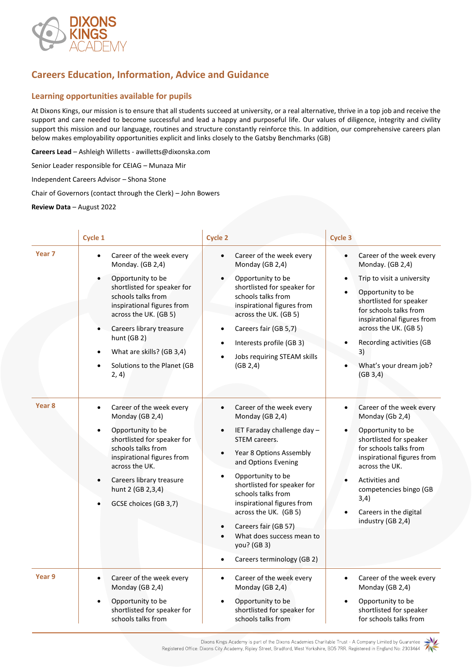

## **Careers Education, Information, Advice and Guidance**

## **Learning opportunities available for pupils**

At Dixons Kings, our mission is to ensure that all students succeed at university, or a real alternative, thrive in a top job and receive the support and care needed to become successful and lead a happy and purposeful life. Our values of diligence, integrity and civility support this mission and our language, routines and structure constantly reinforce this. In addition, our comprehensive careers plan below makes employability opportunities explicit and links closely to the Gatsby Benchmarks (GB)

**Careers Lead** – Ashleigh Willetts - awilletts@dixonska.com

Senior Leader responsible for CEIAG – Munaza Mir

Independent Careers Advisor – Shona Stone

Chair of Governors (contact through the Clerk) – John Bowers

**Review Data** – August 2022

|                   | Cycle 1                                                                                                                                                                                                                                                                                                    | <b>Cycle 2</b>                                                                                                                                                                                                                                                                                                                                                                                                                       | <b>Cycle 3</b>                                                                                                                                                                                                                                                                                                              |
|-------------------|------------------------------------------------------------------------------------------------------------------------------------------------------------------------------------------------------------------------------------------------------------------------------------------------------------|--------------------------------------------------------------------------------------------------------------------------------------------------------------------------------------------------------------------------------------------------------------------------------------------------------------------------------------------------------------------------------------------------------------------------------------|-----------------------------------------------------------------------------------------------------------------------------------------------------------------------------------------------------------------------------------------------------------------------------------------------------------------------------|
| Year <sub>7</sub> | Career of the week every<br>$\bullet$<br>Monday. (GB 2,4)<br>Opportunity to be<br>shortlisted for speaker for<br>schools talks from<br>inspirational figures from<br>across the UK. (GB 5)<br>Careers library treasure<br>hunt (GB 2)<br>What are skills? (GB 3,4)<br>Solutions to the Planet (GB<br>2, 4) | Career of the week every<br>$\bullet$<br>Monday (GB 2,4)<br>Opportunity to be<br>shortlisted for speaker for<br>schools talks from<br>inspirational figures from<br>across the UK. (GB 5)<br>Careers fair (GB 5,7)<br>$\bullet$<br>Interests profile (GB 3)<br>Jobs requiring STEAM skills<br>(GB 2,4)                                                                                                                               | Career of the week every<br>$\bullet$<br>Monday. (GB 2,4)<br>Trip to visit a university<br>$\bullet$<br>Opportunity to be<br>shortlisted for speaker<br>for schools talks from<br>inspirational figures from<br>across the UK. (GB 5)<br>Recording activities (GB<br>$\bullet$<br>3)<br>What's your dream job?<br>(GB 3, 4) |
| Year <sub>8</sub> | Career of the week every<br>$\bullet$<br>Monday (GB 2,4)<br>Opportunity to be<br>shortlisted for speaker for<br>schools talks from<br>inspirational figures from<br>across the UK.<br>Careers library treasure<br>hunt 2 (GB 2,3,4)<br>GCSE choices (GB 3,7)                                               | Career of the week every<br>$\bullet$<br>Monday (GB 2,4)<br>IET Faraday challenge day -<br>$\bullet$<br>STEM careers.<br>Year 8 Options Assembly<br>$\bullet$<br>and Options Evening<br>Opportunity to be<br>shortlisted for speaker for<br>schools talks from<br>inspirational figures from<br>across the UK. (GB 5)<br>Careers fair (GB 57)<br>What does success mean to<br>you? (GB 3)<br>Careers terminology (GB 2)<br>$\bullet$ | Career of the week every<br>$\bullet$<br>Monday (Gb 2,4)<br>Opportunity to be<br>$\bullet$<br>shortlisted for speaker<br>for schools talks from<br>inspirational figures from<br>across the UK.<br>Activities and<br>competencies bingo (GB<br>3,4)<br>Careers in the digital<br>industry (GB 2,4)                          |
| Year 9            | Career of the week every<br>$\bullet$<br>Monday (GB 2,4)<br>Opportunity to be<br>$\bullet$<br>shortlisted for speaker for<br>schools talks from                                                                                                                                                            | Career of the week every<br>$\bullet$<br>Monday (GB 2,4)<br>Opportunity to be<br>shortlisted for speaker for<br>schools talks from                                                                                                                                                                                                                                                                                                   | Career of the week every<br>$\bullet$<br>Monday (GB 2,4)<br>Opportunity to be<br>$\bullet$<br>shortlisted for speaker<br>for schools talks from                                                                                                                                                                             |

Dixons Kings Academy is part of the Dixons Academies Charitable Trust - A Company Limited by Guarantee Registered Office: Dixons City Academy, Ripley Street, Bradford, West Yorkshire, BD5 7RR. Registered in England No: 2303464

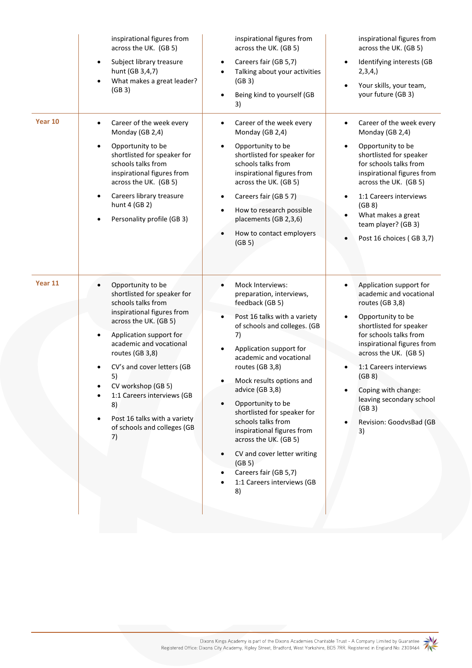|         | inspirational figures from<br>across the UK. (GB 5)<br>Subject library treasure<br>$\bullet$<br>hunt (GB 3,4,7)<br>What makes a great leader?<br>(GB3)                                                                                                                                                                                                                                 | inspirational figures from<br>across the UK. (GB 5)<br>Careers fair (GB 5,7)<br>$\bullet$<br>Talking about your activities<br>(GB3)<br>Being kind to yourself (GB<br>3)                                                                                                                                                                                                                                                                                                                                           | inspirational figures from<br>across the UK. (GB 5)<br>Identifying interests (GB<br>$\bullet$<br>2,3,4,<br>Your skills, your team,<br>$\bullet$<br>your future (GB 3)                                                                                                                                                                                             |
|---------|----------------------------------------------------------------------------------------------------------------------------------------------------------------------------------------------------------------------------------------------------------------------------------------------------------------------------------------------------------------------------------------|-------------------------------------------------------------------------------------------------------------------------------------------------------------------------------------------------------------------------------------------------------------------------------------------------------------------------------------------------------------------------------------------------------------------------------------------------------------------------------------------------------------------|-------------------------------------------------------------------------------------------------------------------------------------------------------------------------------------------------------------------------------------------------------------------------------------------------------------------------------------------------------------------|
| Year 10 | Career of the week every<br>٠<br>Monday (GB 2,4)<br>Opportunity to be<br>shortlisted for speaker for<br>schools talks from<br>inspirational figures from<br>across the UK. (GB 5)<br>Careers library treasure<br>$\bullet$<br>hunt 4 (GB 2)<br>Personality profile (GB 3)                                                                                                              | Career of the week every<br>٠<br>Monday (GB 2,4)<br>Opportunity to be<br>shortlisted for speaker for<br>schools talks from<br>inspirational figures from<br>across the UK. (GB 5)<br>Careers fair (GB 57)<br>$\bullet$<br>How to research possible<br>placements (GB 2,3,6)<br>How to contact employers<br>(GB 5)                                                                                                                                                                                                 | Career of the week every<br>$\bullet$<br>Monday (GB 2,4)<br>Opportunity to be<br>$\bullet$<br>shortlisted for speaker<br>for schools talks from<br>inspirational figures from<br>across the UK. (GB 5)<br>1:1 Careers interviews<br>$\bullet$<br>(GB 8)<br>What makes a great<br>$\bullet$<br>team player? (GB 3)<br>Post 16 choices (GB 3,7)                     |
| Year 11 | Opportunity to be<br>$\bullet$<br>shortlisted for speaker for<br>schools talks from<br>inspirational figures from<br>across the UK. (GB 5)<br>Application support for<br>academic and vocational<br>routes (GB 3,8)<br>CV's and cover letters (GB<br>5)<br>CV workshop (GB 5)<br>1:1 Careers interviews (GB<br>8)<br>Post 16 talks with a variety<br>of schools and colleges (GB<br>7) | Mock Interviews:<br>preparation, interviews,<br>feedback (GB 5)<br>Post 16 talks with a variety<br>of schools and colleges. (GB<br>7)<br>Application support for<br>$\bullet$<br>academic and vocational<br>routes (GB 3,8)<br>Mock results options and<br>advice (GB 3,8)<br>Opportunity to be<br>shortlisted for speaker for<br>schools talks from<br>inspirational figures from<br>across the UK. (GB 5)<br>CV and cover letter writing<br>(GB 5)<br>Careers fair (GB 5,7)<br>1:1 Careers interviews (GB<br>8) | Application support for<br>$\bullet$<br>academic and vocational<br>routes (GB 3,8)<br>Opportunity to be<br>$\bullet$<br>shortlisted for speaker<br>for schools talks from<br>inspirational figures from<br>across the UK. (GB 5)<br>1:1 Careers interviews<br>(GB 8)<br>Coping with change:<br>leaving secondary school<br>(GB3)<br>Revision: GoodvsBad (GB<br>3) |